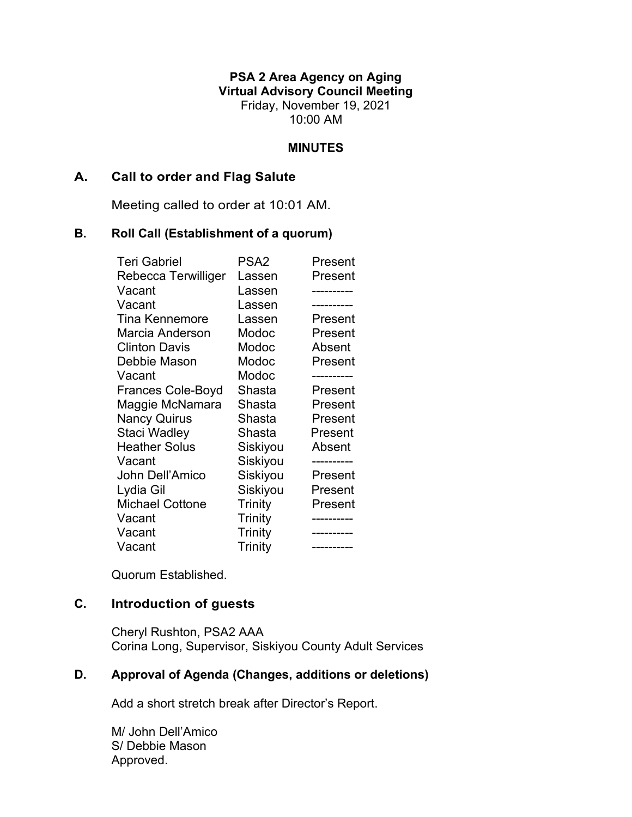**PSA 2 Area Agency on Aging Virtual Advisory Council Meeting** Friday, November 19, 2021 10:00 AM

#### **MINUTES**

### **A. Call to order and Flag Salute**

Meeting called to order at 10:01 AM.

#### **B. Roll Call (Establishment of a quorum)**

| <b>Teri Gabriel</b>      | PSA <sub>2</sub> | Present |
|--------------------------|------------------|---------|
| Rebecca Terwilliger      | Lassen           | Present |
| Vacant                   | Lassen           |         |
| Vacant                   | Lassen           |         |
| <b>Tina Kennemore</b>    | Lassen           | Present |
| Marcia Anderson          | Modoc            | Present |
| <b>Clinton Davis</b>     | Modoc            | Absent  |
| Debbie Mason             | Modoc            | Present |
| Vacant                   | Modoc            |         |
| <b>Frances Cole-Boyd</b> | Shasta           | Present |
| Maggie McNamara          | Shasta           | Present |
| <b>Nancy Quirus</b>      | Shasta           | Present |
| Staci Wadley             | Shasta           | Present |
| <b>Heather Solus</b>     | Siskiyou         | Absent  |
| Vacant                   | Siskiyou         |         |
| John Dell'Amico          | Siskiyou         | Present |
| Lydia Gil                | Siskiyou         | Present |
| <b>Michael Cottone</b>   | Trinity          | Present |
| Vacant                   | Trinity          |         |
| Vacant                   | Trinity          |         |
| Vacant                   | Trinity          |         |

Quorum Established.

# **C. Introduction of guests**

Cheryl Rushton, PSA2 AAA Corina Long, Supervisor, Siskiyou County Adult Services

## **D. Approval of Agenda (Changes, additions or deletions)**

Add a short stretch break after Director's Report.

M/ John Dell'Amico S/ Debbie Mason Approved.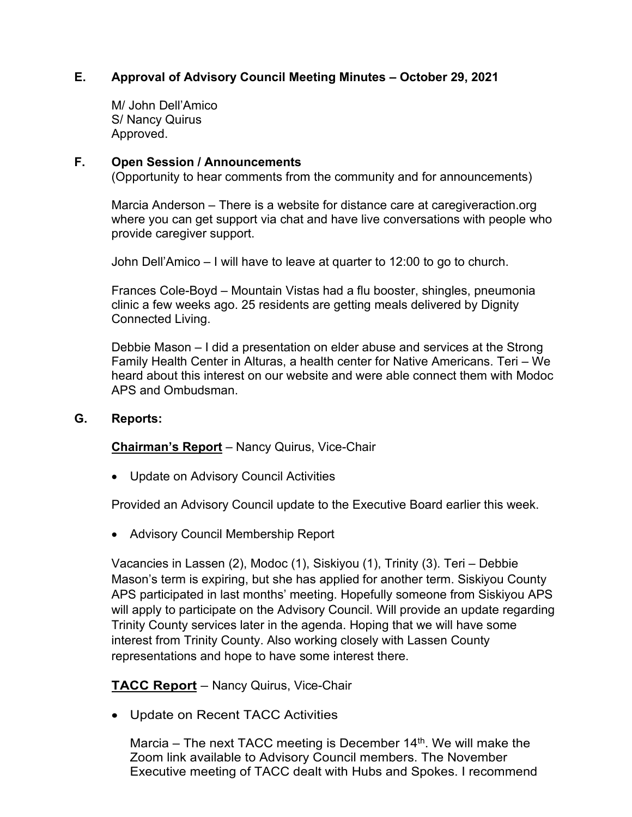# **E. Approval of Advisory Council Meeting Minutes – October 29, 2021**

M/ John Dell'Amico S/ Nancy Quirus Approved.

### **F. Open Session / Announcements**

(Opportunity to hear comments from the community and for announcements)

Marcia Anderson – There is a website for distance care at caregiveraction.org where you can get support via chat and have live conversations with people who provide caregiver support.

John Dell'Amico – I will have to leave at quarter to 12:00 to go to church.

Frances Cole-Boyd – Mountain Vistas had a flu booster, shingles, pneumonia clinic a few weeks ago. 25 residents are getting meals delivered by Dignity Connected Living.

Debbie Mason – I did a presentation on elder abuse and services at the Strong Family Health Center in Alturas, a health center for Native Americans. Teri – We heard about this interest on our website and were able connect them with Modoc APS and Ombudsman.

#### **G. Reports:**

**Chairman's Report** – Nancy Quirus, Vice-Chair

• Update on Advisory Council Activities

Provided an Advisory Council update to the Executive Board earlier this week.

• Advisory Council Membership Report

Vacancies in Lassen (2), Modoc (1), Siskiyou (1), Trinity (3). Teri – Debbie Mason's term is expiring, but she has applied for another term. Siskiyou County APS participated in last months' meeting. Hopefully someone from Siskiyou APS will apply to participate on the Advisory Council. Will provide an update regarding Trinity County services later in the agenda. Hoping that we will have some interest from Trinity County. Also working closely with Lassen County representations and hope to have some interest there.

### **TACC Report** – Nancy Quirus, Vice-Chair

• Update on Recent TACC Activities

Marcia – The next TACC meeting is December  $14<sup>th</sup>$ . We will make the Zoom link available to Advisory Council members. The November Executive meeting of TACC dealt with Hubs and Spokes. I recommend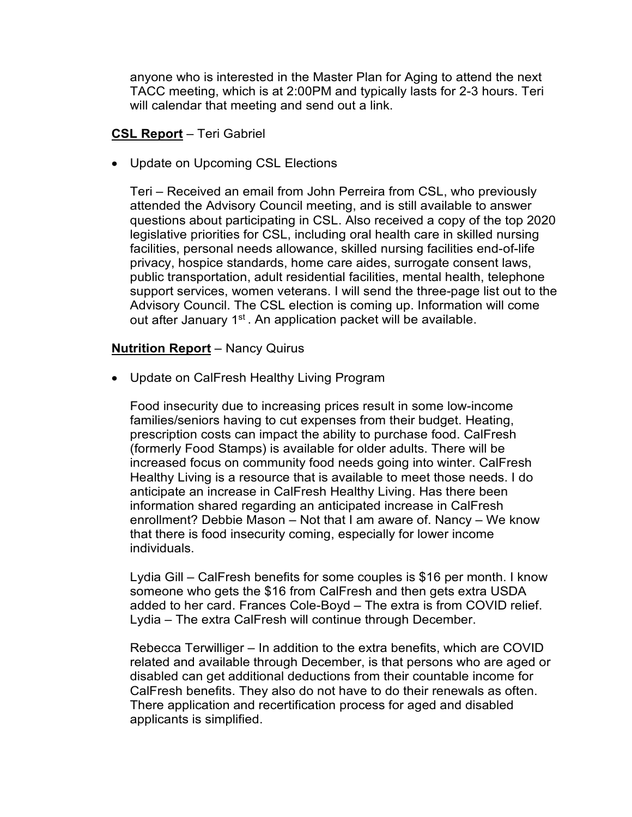anyone who is interested in the Master Plan for Aging to attend the next TACC meeting, which is at 2:00PM and typically lasts for 2-3 hours. Teri will calendar that meeting and send out a link.

## **CSL Report** – Teri Gabriel

• Update on Upcoming CSL Elections

Teri – Received an email from John Perreira from CSL, who previously attended the Advisory Council meeting, and is still available to answer questions about participating in CSL. Also received a copy of the top 2020 legislative priorities for CSL, including oral health care in skilled nursing facilities, personal needs allowance, skilled nursing facilities end-of-life privacy, hospice standards, home care aides, surrogate consent laws, public transportation, adult residential facilities, mental health, telephone support services, women veterans. I will send the three-page list out to the Advisory Council. The CSL election is coming up. Information will come out after January 1<sup>st</sup>. An application packet will be available.

# **Nutrition Report** – Nancy Quirus

• Update on CalFresh Healthy Living Program

Food insecurity due to increasing prices result in some low-income families/seniors having to cut expenses from their budget. Heating, prescription costs can impact the ability to purchase food. CalFresh (formerly Food Stamps) is available for older adults. There will be increased focus on community food needs going into winter. CalFresh Healthy Living is a resource that is available to meet those needs. I do anticipate an increase in CalFresh Healthy Living. Has there been information shared regarding an anticipated increase in CalFresh enrollment? Debbie Mason – Not that I am aware of. Nancy – We know that there is food insecurity coming, especially for lower income individuals.

Lydia Gill – CalFresh benefits for some couples is \$16 per month. I know someone who gets the \$16 from CalFresh and then gets extra USDA added to her card. Frances Cole-Boyd – The extra is from COVID relief. Lydia – The extra CalFresh will continue through December.

Rebecca Terwilliger – In addition to the extra benefits, which are COVID related and available through December, is that persons who are aged or disabled can get additional deductions from their countable income for CalFresh benefits. They also do not have to do their renewals as often. There application and recertification process for aged and disabled applicants is simplified.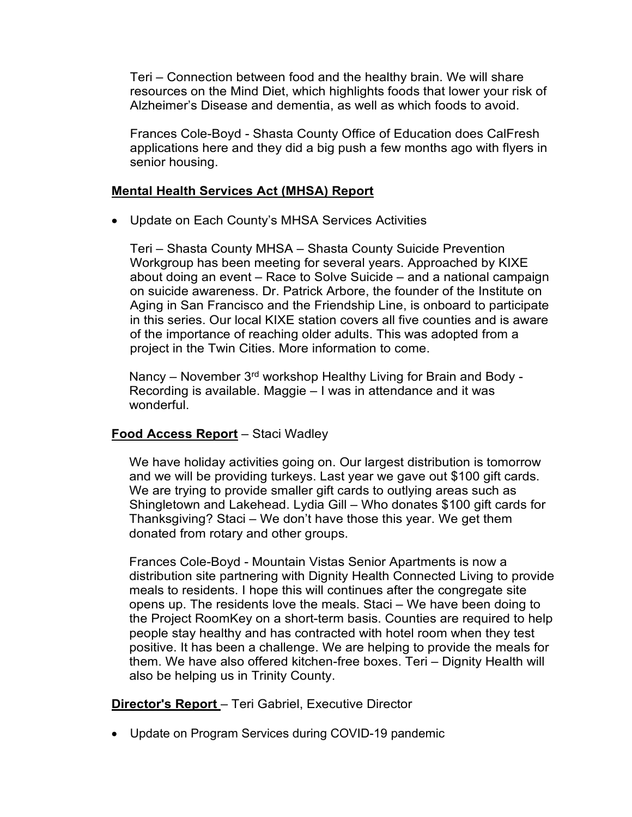Teri – Connection between food and the healthy brain. We will share resources on the Mind Diet, which highlights foods that lower your risk of Alzheimer's Disease and dementia, as well as which foods to avoid.

Frances Cole-Boyd - Shasta County Office of Education does CalFresh applications here and they did a big push a few months ago with flyers in senior housing.

# **Mental Health Services Act (MHSA) Report**

• Update on Each County's MHSA Services Activities

Teri – Shasta County MHSA – Shasta County Suicide Prevention Workgroup has been meeting for several years. Approached by KIXE about doing an event – Race to Solve Suicide – and a national campaign on suicide awareness. Dr. Patrick Arbore, the founder of the Institute on Aging in San Francisco and the Friendship Line, is onboard to participate in this series. Our local KIXE station covers all five counties and is aware of the importance of reaching older adults. This was adopted from a project in the Twin Cities. More information to come.

Nancy – November 3<sup>rd</sup> workshop Healthy Living for Brain and Body -Recording is available. Maggie – I was in attendance and it was wonderful.

# **Food Access Report** – Staci Wadley

We have holiday activities going on. Our largest distribution is tomorrow and we will be providing turkeys. Last year we gave out \$100 gift cards. We are trying to provide smaller gift cards to outlying areas such as Shingletown and Lakehead. Lydia Gill – Who donates \$100 gift cards for Thanksgiving? Staci – We don't have those this year. We get them donated from rotary and other groups.

Frances Cole-Boyd - Mountain Vistas Senior Apartments is now a distribution site partnering with Dignity Health Connected Living to provide meals to residents. I hope this will continues after the congregate site opens up. The residents love the meals. Staci – We have been doing to the Project RoomKey on a short-term basis. Counties are required to help people stay healthy and has contracted with hotel room when they test positive. It has been a challenge. We are helping to provide the meals for them. We have also offered kitchen-free boxes. Teri – Dignity Health will also be helping us in Trinity County.

**Director's Report** – Teri Gabriel, Executive Director

• Update on Program Services during COVID-19 pandemic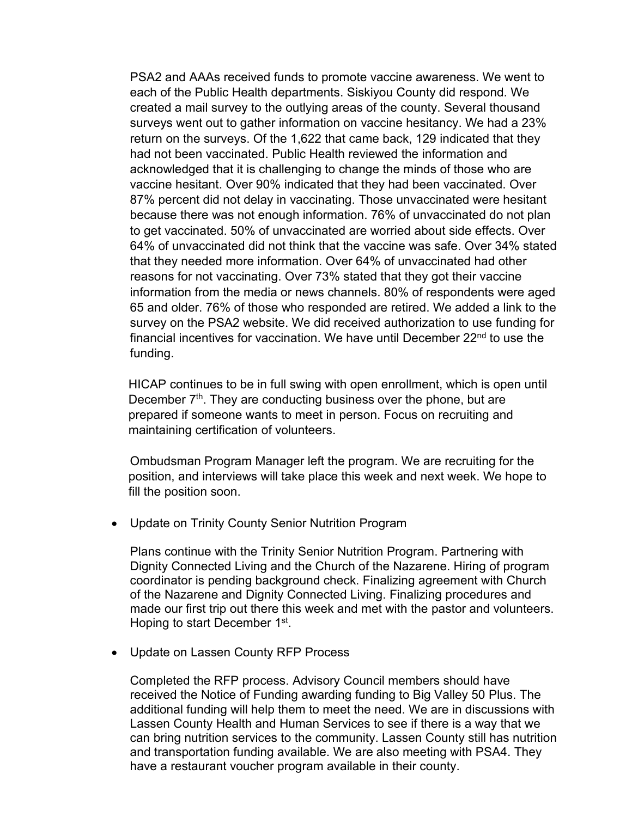PSA2 and AAAs received funds to promote vaccine awareness. We went to each of the Public Health departments. Siskiyou County did respond. We created a mail survey to the outlying areas of the county. Several thousand surveys went out to gather information on vaccine hesitancy. We had a 23% return on the surveys. Of the 1,622 that came back, 129 indicated that they had not been vaccinated. Public Health reviewed the information and acknowledged that it is challenging to change the minds of those who are vaccine hesitant. Over 90% indicated that they had been vaccinated. Over 87% percent did not delay in vaccinating. Those unvaccinated were hesitant because there was not enough information. 76% of unvaccinated do not plan to get vaccinated. 50% of unvaccinated are worried about side effects. Over 64% of unvaccinated did not think that the vaccine was safe. Over 34% stated that they needed more information. Over 64% of unvaccinated had other reasons for not vaccinating. Over 73% stated that they got their vaccine information from the media or news channels. 80% of respondents were aged 65 and older. 76% of those who responded are retired. We added a link to the survey on the PSA2 website. We did received authorization to use funding for financial incentives for vaccination. We have until December 22nd to use the funding.

HICAP continues to be in full swing with open enrollment, which is open until December  $7<sup>th</sup>$ . They are conducting business over the phone, but are prepared if someone wants to meet in person. Focus on recruiting and maintaining certification of volunteers.

Ombudsman Program Manager left the program. We are recruiting for the position, and interviews will take place this week and next week. We hope to fill the position soon.

• Update on Trinity County Senior Nutrition Program

Plans continue with the Trinity Senior Nutrition Program. Partnering with Dignity Connected Living and the Church of the Nazarene. Hiring of program coordinator is pending background check. Finalizing agreement with Church of the Nazarene and Dignity Connected Living. Finalizing procedures and made our first trip out there this week and met with the pastor and volunteers. Hoping to start December 1<sup>st</sup>.

• Update on Lassen County RFP Process

Completed the RFP process. Advisory Council members should have received the Notice of Funding awarding funding to Big Valley 50 Plus. The additional funding will help them to meet the need. We are in discussions with Lassen County Health and Human Services to see if there is a way that we can bring nutrition services to the community. Lassen County still has nutrition and transportation funding available. We are also meeting with PSA4. They have a restaurant voucher program available in their county.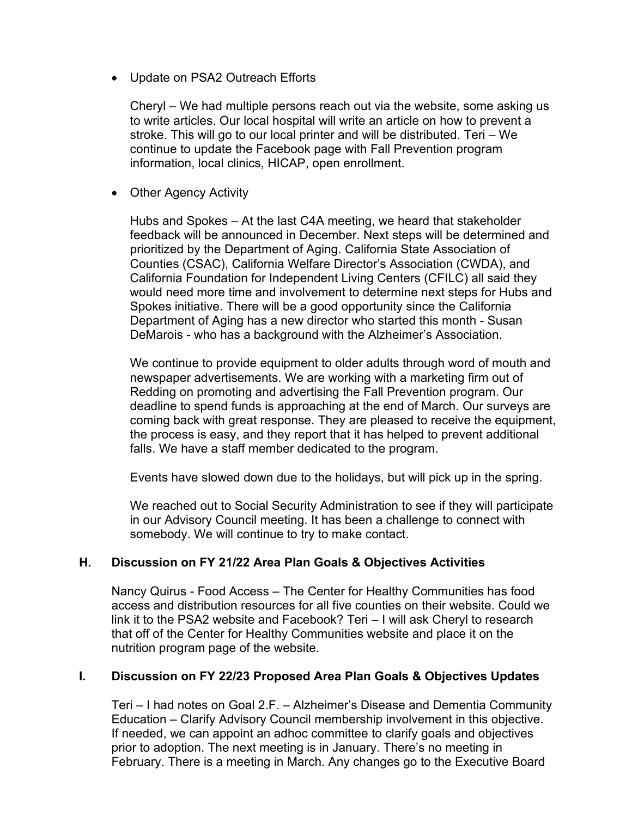• Update on PSA2 Outreach Efforts

Cheryl – We had multiple persons reach out via the website, some asking us to write articles. Our local hospital will write an article on how to prevent a stroke. This will go to our local printer and will be distributed. Teri – We continue to update the Facebook page with Fall Prevention program information, local clinics, HICAP, open enrollment.

• Other Agency Activity

Hubs and Spokes – At the last C4A meeting, we heard that stakeholder feedback will be announced in December. Next steps will be determined and prioritized by the Department of Aging. California State Association of Counties (CSAC), California Welfare Director's Association (CWDA), and California Foundation for Independent Living Centers (CFILC) all said they would need more time and involvement to determine next steps for Hubs and Spokes initiative. There will be a good opportunity since the California Department of Aging has a new director who started this month - Susan DeMarois - who has a background with the Alzheimer's Association.

We continue to provide equipment to older adults through word of mouth and newspaper advertisements. We are working with a marketing firm out of Redding on promoting and advertising the Fall Prevention program. Our deadline to spend funds is approaching at the end of March. Our surveys are coming back with great response. They are pleased to receive the equipment, the process is easy, and they report that it has helped to prevent additional falls. We have a staff member dedicated to the program.

Events have slowed down due to the holidays, but will pick up in the spring.

We reached out to Social Security Administration to see if they will participate in our Advisory Council meeting. It has been a challenge to connect with somebody. We will continue to try to make contact.

# **H. Discussion on FY 21/22 Area Plan Goals & Objectives Activities**

Nancy Quirus - Food Access – The Center for Healthy Communities has food access and distribution resources for all five counties on their website. Could we link it to the PSA2 website and Facebook? Teri – I will ask Cheryl to research that off of the Center for Healthy Communities website and place it on the nutrition program page of the website.

# **I. Discussion on FY 22/23 Proposed Area Plan Goals & Objectives Updates**

Teri – I had notes on Goal 2.F. – Alzheimer's Disease and Dementia Community Education – Clarify Advisory Council membership involvement in this objective. If needed, we can appoint an adhoc committee to clarify goals and objectives prior to adoption. The next meeting is in January. There's no meeting in February. There is a meeting in March. Any changes go to the Executive Board